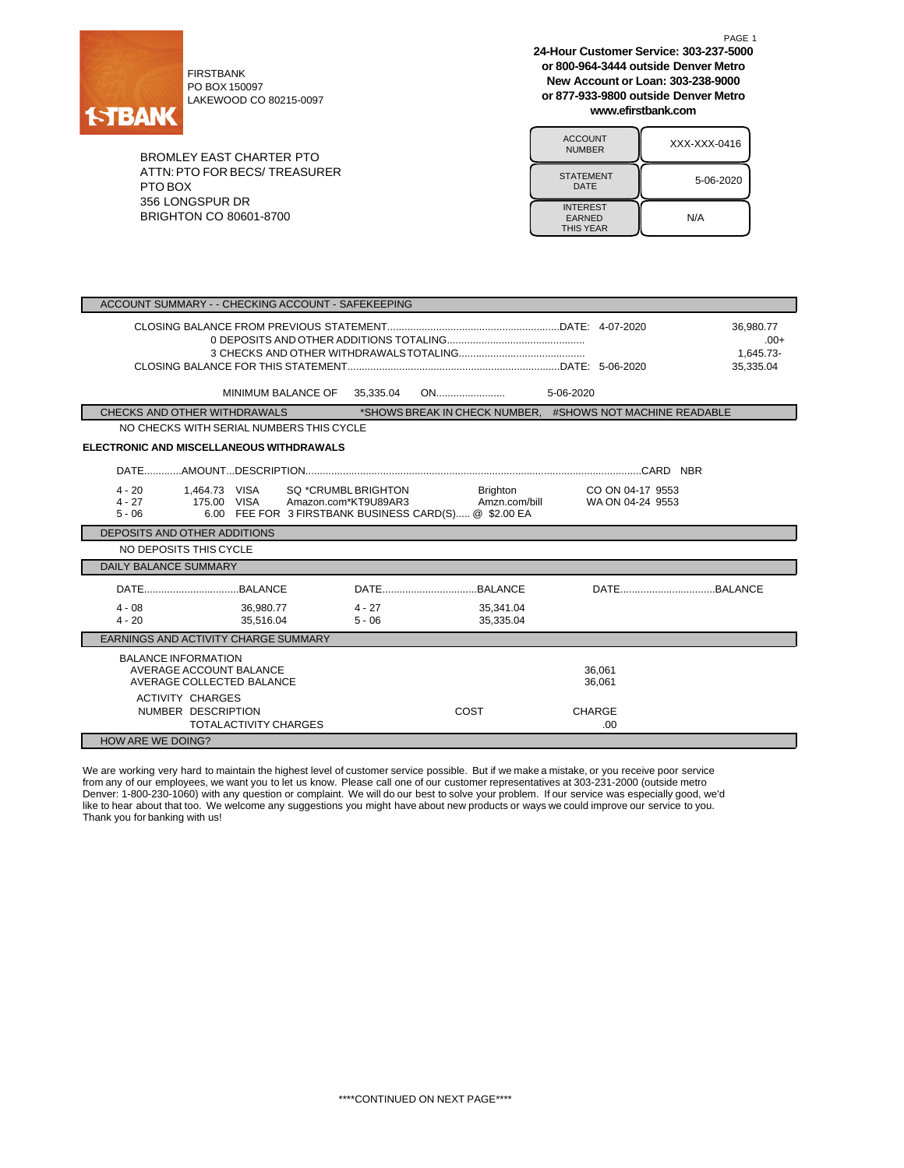

FIRSTBANK PO BOX 150097 LAKEWOOD CO 80215-0097

BROMLEY EAST CHARTER PTO ATTN:PTO FOR BECS/ TREASURER PTO BOX 356 LONGSPUR DR BRIGHTON CO 80601-8700

**24-Hour Customer Service: 303-237-5000 or 800-964-3444 outside Denver Metro New Account or Loan: 303-238-9000 or 877-933-9800 outside Denver Metro www.efirstbank.com**

PAGE 1

| <b>ACCOUNT</b><br><b>NUMBER</b>                      | XXX-XXX-0416 |
|------------------------------------------------------|--------------|
| <b>STATEMENT</b><br>DATE                             | 5-06-2020    |
| <b>INTEREST</b><br><b>EARNED</b><br><b>THIS YEAR</b> | N/A          |

| ACCOUNT SUMMARY - - CHECKING ACCOUNT - SAFEKEEPING                                                            |                                                                                                                         |                                                    |                                               |  |  |  |
|---------------------------------------------------------------------------------------------------------------|-------------------------------------------------------------------------------------------------------------------------|----------------------------------------------------|-----------------------------------------------|--|--|--|
|                                                                                                               |                                                                                                                         |                                                    | 36.980.77<br>$.00+$<br>1.645.73-<br>35.335.04 |  |  |  |
| MINIMUM BALANCE OF 35,335.04                                                                                  |                                                                                                                         |                                                    |                                               |  |  |  |
| CHECKS AND OTHER WITHDRAWALS                                                                                  | *SHOWS BREAK IN CHECK NUMBER. #SHOWS NOT MACHINE READABLE                                                               |                                                    |                                               |  |  |  |
| NO CHECKS WITH SERIAL NUMBERS THIS CYCLE                                                                      |                                                                                                                         |                                                    |                                               |  |  |  |
| ELECTRONIC AND MISCELLANEOUS WITHDRAWALS                                                                      |                                                                                                                         |                                                    |                                               |  |  |  |
|                                                                                                               |                                                                                                                         |                                                    |                                               |  |  |  |
| $4 - 20$<br>1,464.73 VISA<br>$4 - 27$<br>175.00 VISA<br>$5 - 06$                                              | <b>Brighton</b><br>SQ *CRUMBL BRIGHTON<br>Amazon.com*KT9U89AR3<br>6.00 FEE FOR 3 FIRSTBANK BUSINESS CARD(S) @ \$2.00 EA | CO ON 04-17 9553<br>Amzn.com/bill WA ON 04-24 9553 |                                               |  |  |  |
| DEPOSITS AND OTHER ADDITIONS                                                                                  |                                                                                                                         |                                                    |                                               |  |  |  |
| NO DEPOSITS THIS CYCLE                                                                                        |                                                                                                                         |                                                    |                                               |  |  |  |
| <b>DAILY BALANCE SUMMARY</b>                                                                                  |                                                                                                                         |                                                    |                                               |  |  |  |
|                                                                                                               |                                                                                                                         |                                                    |                                               |  |  |  |
| $4 - 08$<br>36.980.77<br>$4 - 20$<br>35.516.04                                                                | $4 - 27$<br>35,341.04<br>$5 - 06$<br>35,335.04                                                                          |                                                    |                                               |  |  |  |
| EARNINGS AND ACTIVITY CHARGE SUMMARY                                                                          |                                                                                                                         |                                                    |                                               |  |  |  |
| <b>BALANCE INFORMATION</b><br>AVERAGE ACCOUNT BALANCE<br>AVERAGE COLLECTED BALANCE<br><b>ACTIVITY CHARGES</b> |                                                                                                                         | 36.061<br>36,061                                   |                                               |  |  |  |
| NUMBER DESCRIPTION<br><b>TOTALACTIVITY CHARGES</b>                                                            | COST                                                                                                                    | <b>CHARGE</b><br>.00.                              |                                               |  |  |  |
| <b>HOW ARE WE DOING?</b>                                                                                      |                                                                                                                         |                                                    |                                               |  |  |  |

We are working very hard to maintain the highest level of customer service possible. But if we make a mistake, or you receive poor service from any of our employees, we want you to let us know. Please call one of our customer representatives at 303-231-2000 (outside metro Denver: 1-800-230-1060) with any question or complaint. We will do our best to solve your problem. If our service was especially good, we'd like to hear about that too. We welcome any suggestions you might have about new products or ways we could improve our service to you. Thank you for banking with us!